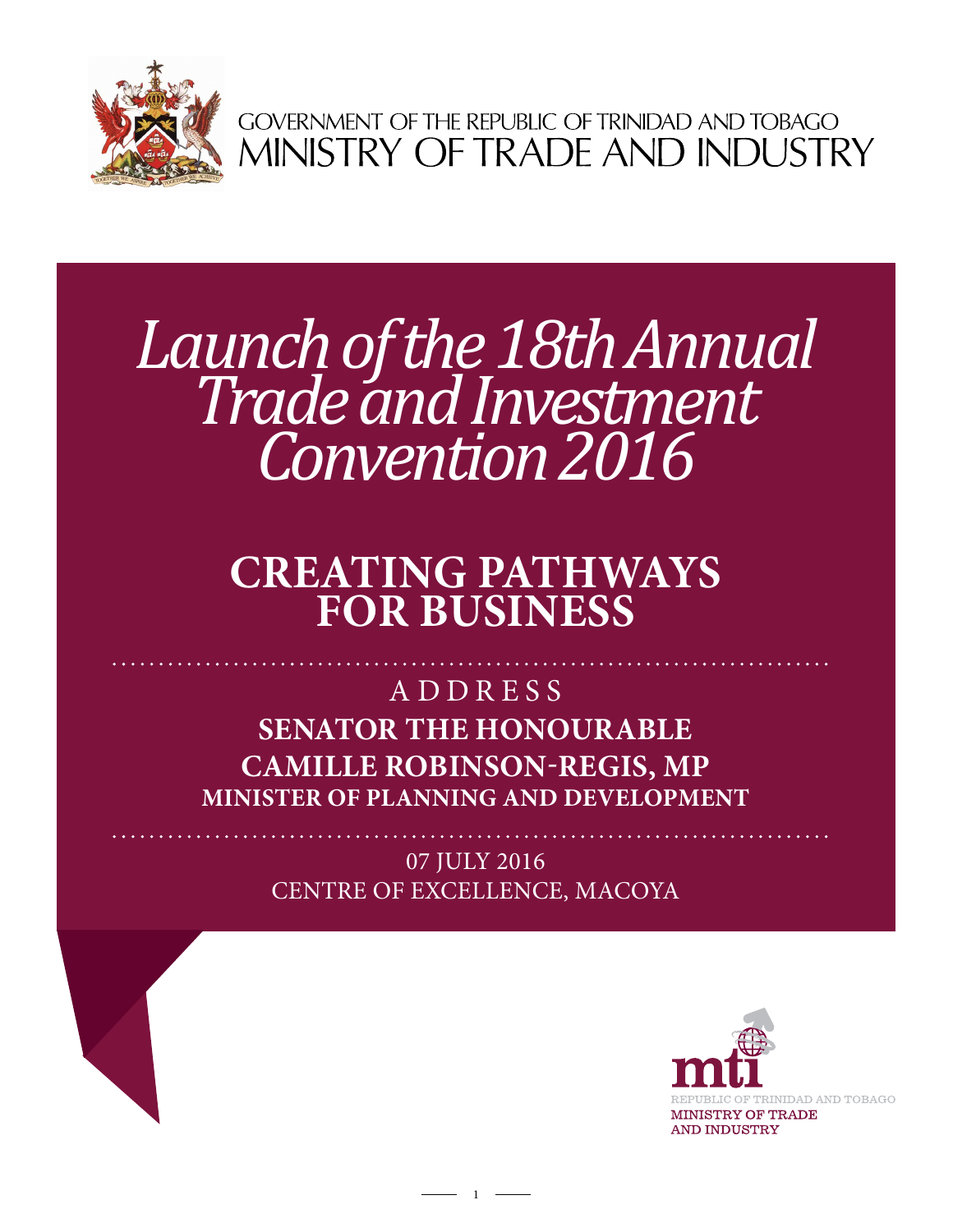

GOVERNMENT OF THE REPUBLIC OF TRINIDAD AND TOBAGO<br>MINISTRY OF TRADE AND INDUSTRY

# *Launch of the 18th Annual Trade and Investment Convention 2016*

## **Creating Pathways for Business**

### **Senator the Honourable Camille Robinson-Regis, MP Minister of Planning and Development** A D D R E S S

07 July 2016 Centre of Excellence, Macoya

1

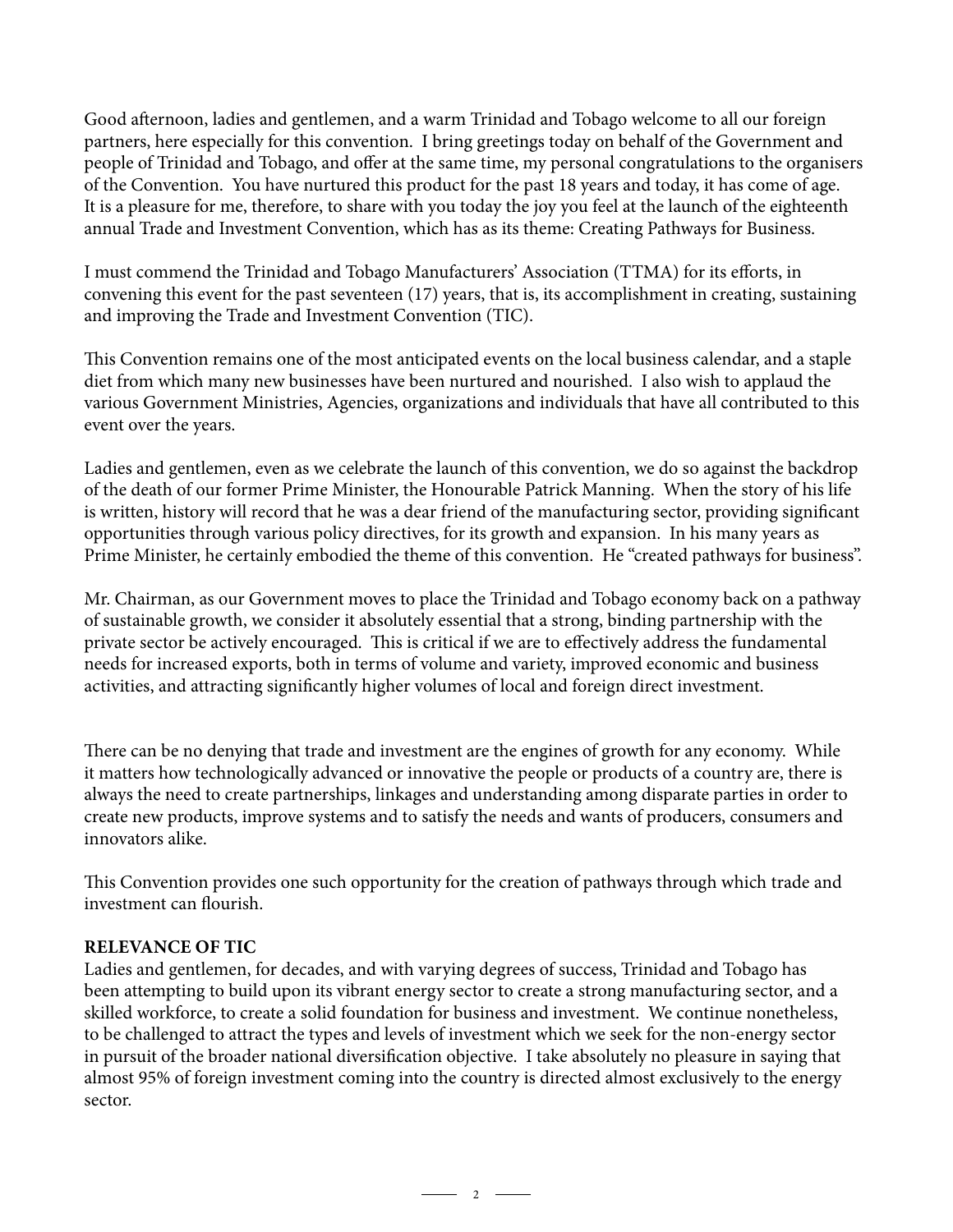Good afternoon, ladies and gentlemen, and a warm Trinidad and Tobago welcome to all our foreign partners, here especially for this convention. I bring greetings today on behalf of the Government and people of Trinidad and Tobago, and offer at the same time, my personal congratulations to the organisers of the Convention. You have nurtured this product for the past 18 years and today, it has come of age. It is a pleasure for me, therefore, to share with you today the joy you feel at the launch of the eighteenth annual Trade and Investment Convention, which has as its theme: Creating Pathways for Business.

I must commend the Trinidad and Tobago Manufacturers' Association (TTMA) for its efforts, in convening this event for the past seventeen (17) years, that is, its accomplishment in creating, sustaining and improving the Trade and Investment Convention (TIC).

This Convention remains one of the most anticipated events on the local business calendar, and a staple diet from which many new businesses have been nurtured and nourished. I also wish to applaud the various Government Ministries, Agencies, organizations and individuals that have all contributed to this event over the years.

Ladies and gentlemen, even as we celebrate the launch of this convention, we do so against the backdrop of the death of our former Prime Minister, the Honourable Patrick Manning. When the story of his life is written, history will record that he was a dear friend of the manufacturing sector, providing significant opportunities through various policy directives, for its growth and expansion. In his many years as Prime Minister, he certainly embodied the theme of this convention. He "created pathways for business".

Mr. Chairman, as our Government moves to place the Trinidad and Tobago economy back on a pathway of sustainable growth, we consider it absolutely essential that a strong, binding partnership with the private sector be actively encouraged. This is critical if we are to effectively address the fundamental needs for increased exports, both in terms of volume and variety, improved economic and business activities, and attracting significantly higher volumes of local and foreign direct investment.

There can be no denying that trade and investment are the engines of growth for any economy. While it matters how technologically advanced or innovative the people or products of a country are, there is always the need to create partnerships, linkages and understanding among disparate parties in order to create new products, improve systems and to satisfy the needs and wants of producers, consumers and innovators alike.

This Convention provides one such opportunity for the creation of pathways through which trade and investment can flourish.

#### **Relevance of TIC**

Ladies and gentlemen, for decades, and with varying degrees of success, Trinidad and Tobago has been attempting to build upon its vibrant energy sector to create a strong manufacturing sector, and a skilled workforce, to create a solid foundation for business and investment. We continue nonetheless, to be challenged to attract the types and levels of investment which we seek for the non-energy sector in pursuit of the broader national diversification objective. I take absolutely no pleasure in saying that almost 95% of foreign investment coming into the country is directed almost exclusively to the energy sector.

 $\overline{\phantom{a}}$  2  $\overline{\phantom{a}}$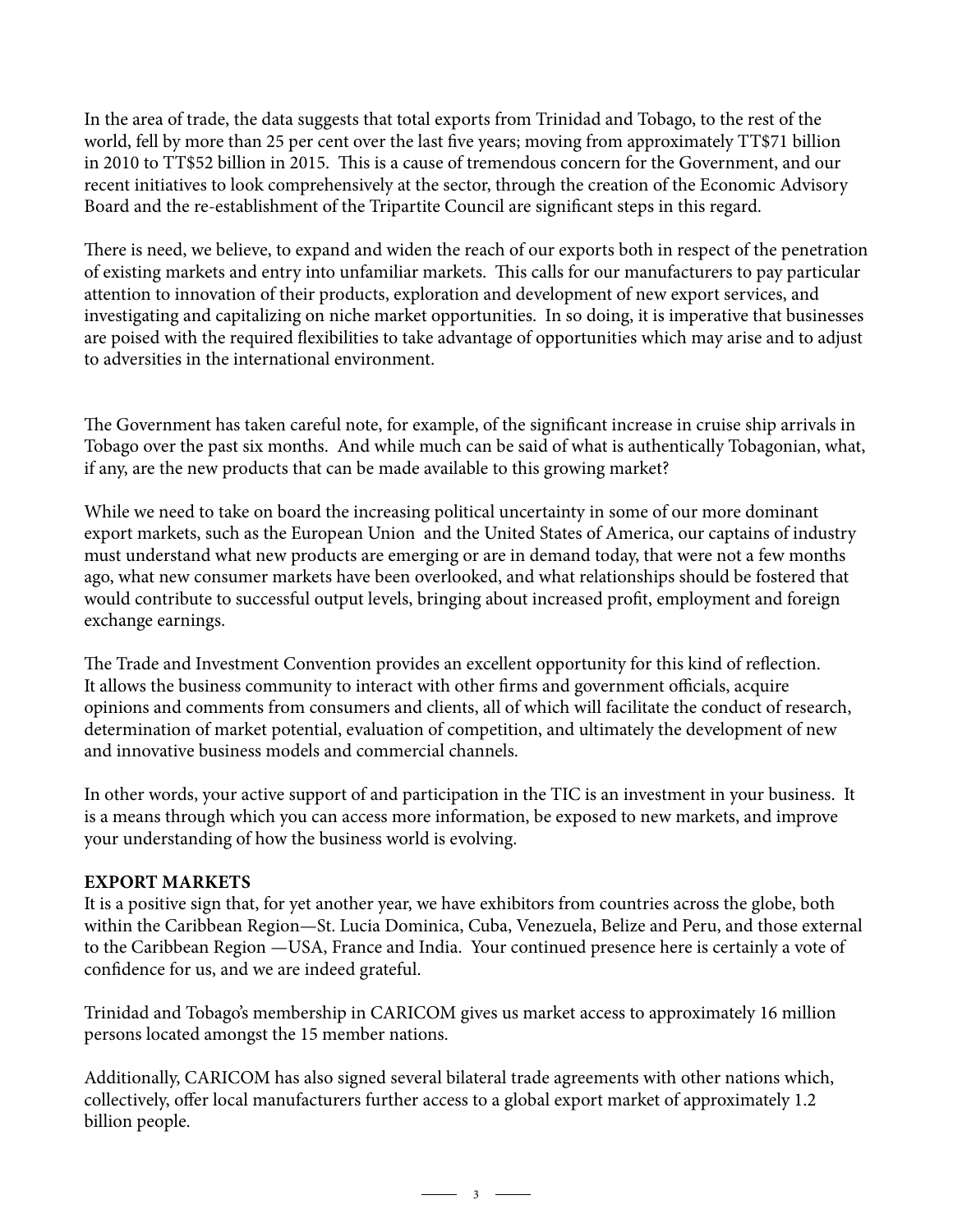In the area of trade, the data suggests that total exports from Trinidad and Tobago, to the rest of the world, fell by more than 25 per cent over the last five years; moving from approximately TT\$71 billion in 2010 to TT\$52 billion in 2015. This is a cause of tremendous concern for the Government, and our recent initiatives to look comprehensively at the sector, through the creation of the Economic Advisory Board and the re-establishment of the Tripartite Council are significant steps in this regard.

There is need, we believe, to expand and widen the reach of our exports both in respect of the penetration of existing markets and entry into unfamiliar markets. This calls for our manufacturers to pay particular attention to innovation of their products, exploration and development of new export services, and investigating and capitalizing on niche market opportunities. In so doing, it is imperative that businesses are poised with the required flexibilities to take advantage of opportunities which may arise and to adjust to adversities in the international environment.

The Government has taken careful note, for example, of the significant increase in cruise ship arrivals in Tobago over the past six months. And while much can be said of what is authentically Tobagonian, what, if any, are the new products that can be made available to this growing market?

While we need to take on board the increasing political uncertainty in some of our more dominant export markets, such as the European Union and the United States of America, our captains of industry must understand what new products are emerging or are in demand today, that were not a few months ago, what new consumer markets have been overlooked, and what relationships should be fostered that would contribute to successful output levels, bringing about increased profit, employment and foreign exchange earnings.

The Trade and Investment Convention provides an excellent opportunity for this kind of reflection. It allows the business community to interact with other firms and government officials, acquire opinions and comments from consumers and clients, all of which will facilitate the conduct of research, determination of market potential, evaluation of competition, and ultimately the development of new and innovative business models and commercial channels.

In other words, your active support of and participation in the TIC is an investment in your business. It is a means through which you can access more information, be exposed to new markets, and improve your understanding of how the business world is evolving.

#### **Export Markets**

It is a positive sign that, for yet another year, we have exhibitors from countries across the globe, both within the Caribbean Region—St. Lucia Dominica, Cuba, Venezuela, Belize and Peru, and those external to the Caribbean Region —USA, France and India. Your continued presence here is certainly a vote of confidence for us, and we are indeed grateful.

Trinidad and Tobago's membership in CARICOM gives us market access to approximately 16 million persons located amongst the 15 member nations.

Additionally, CARICOM has also signed several bilateral trade agreements with other nations which, collectively, offer local manufacturers further access to a global export market of approximately 1.2 billion people.

 $\overline{\phantom{1}}$  3  $\overline{\phantom{1}}$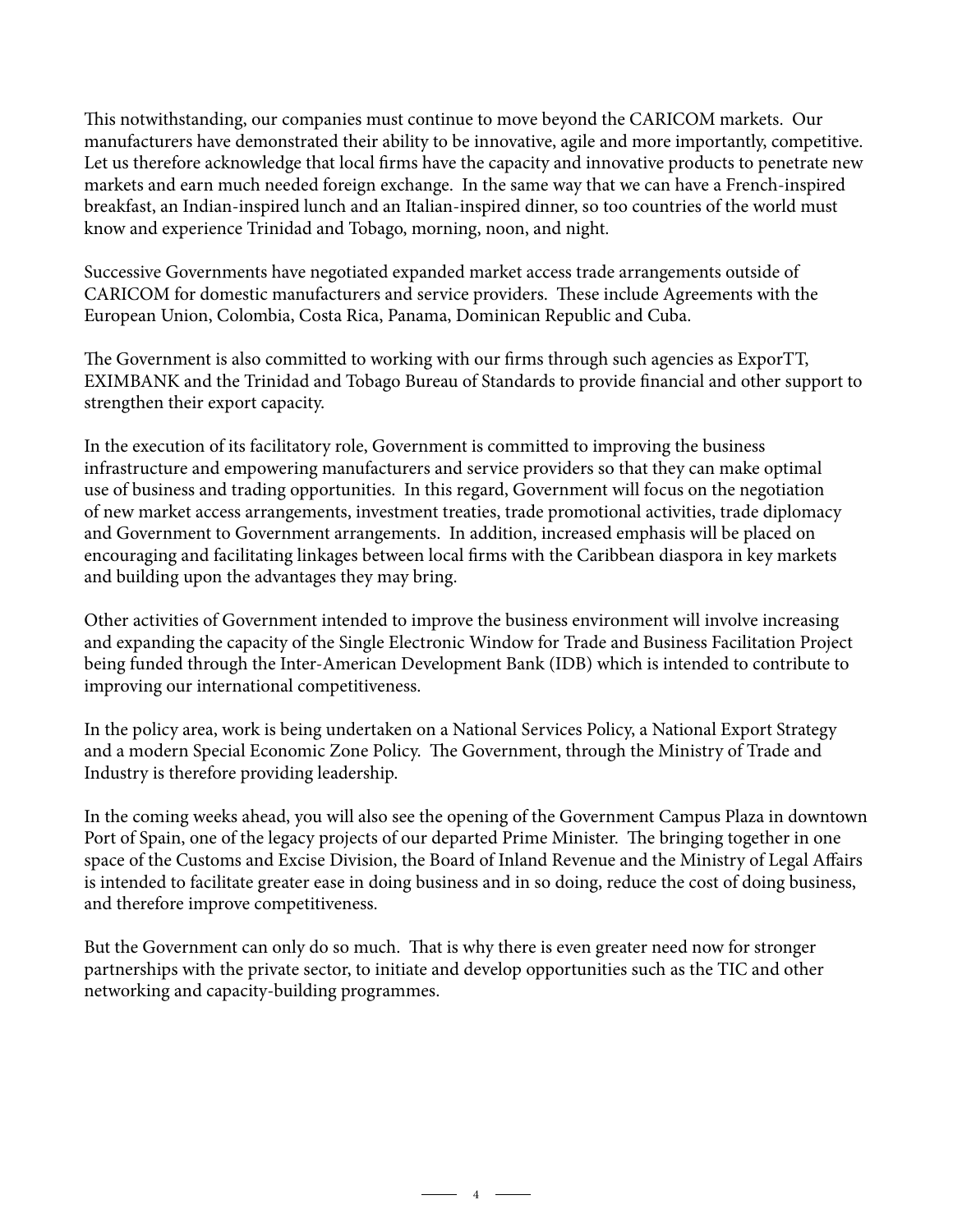This notwithstanding, our companies must continue to move beyond the CARICOM markets. Our manufacturers have demonstrated their ability to be innovative, agile and more importantly, competitive. Let us therefore acknowledge that local firms have the capacity and innovative products to penetrate new markets and earn much needed foreign exchange. In the same way that we can have a French-inspired breakfast, an Indian-inspired lunch and an Italian-inspired dinner, so too countries of the world must know and experience Trinidad and Tobago, morning, noon, and night.

Successive Governments have negotiated expanded market access trade arrangements outside of CARICOM for domestic manufacturers and service providers. These include Agreements with the European Union, Colombia, Costa Rica, Panama, Dominican Republic and Cuba.

The Government is also committed to working with our firms through such agencies as ExporTT, EXIMBANK and the Trinidad and Tobago Bureau of Standards to provide financial and other support to strengthen their export capacity.

In the execution of its facilitatory role, Government is committed to improving the business infrastructure and empowering manufacturers and service providers so that they can make optimal use of business and trading opportunities. In this regard, Government will focus on the negotiation of new market access arrangements, investment treaties, trade promotional activities, trade diplomacy and Government to Government arrangements. In addition, increased emphasis will be placed on encouraging and facilitating linkages between local firms with the Caribbean diaspora in key markets and building upon the advantages they may bring.

Other activities of Government intended to improve the business environment will involve increasing and expanding the capacity of the Single Electronic Window for Trade and Business Facilitation Project being funded through the Inter-American Development Bank (IDB) which is intended to contribute to improving our international competitiveness.

In the policy area, work is being undertaken on a National Services Policy, a National Export Strategy and a modern Special Economic Zone Policy. The Government, through the Ministry of Trade and Industry is therefore providing leadership.

In the coming weeks ahead, you will also see the opening of the Government Campus Plaza in downtown Port of Spain, one of the legacy projects of our departed Prime Minister. The bringing together in one space of the Customs and Excise Division, the Board of Inland Revenue and the Ministry of Legal Affairs is intended to facilitate greater ease in doing business and in so doing, reduce the cost of doing business, and therefore improve competitiveness.

 $-4$   $-$ 

But the Government can only do so much. That is why there is even greater need now for stronger partnerships with the private sector, to initiate and develop opportunities such as the TIC and other networking and capacity-building programmes.